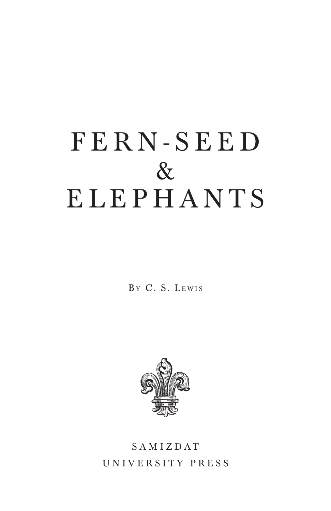# FERN-SEED & ELEPHANTS

BY C. S. LEWIS



# **SAMIZDAT** univer s ity P r e ss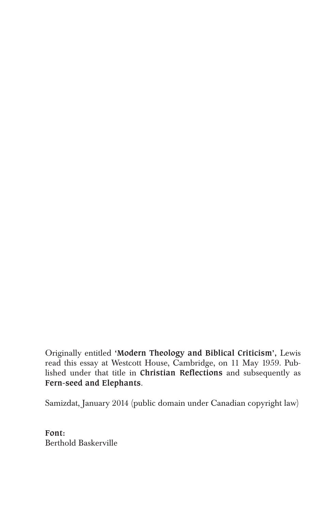Originally entitled **'Modern Theology and Biblical Criticism',** Lewis read this essay at Westcott House, Cambridge, on 11 May 1959. Published under that title in **Christian Reflections** and subsequently as **Fern-seed and Elephants**.

Samizdat, January 2014 (public domain under [Canadian copyright law\)](http://laws-lois.justice.gc.ca/eng/acts/C-42/page-6.html#h-6)

**Font:** Berthold Baskerville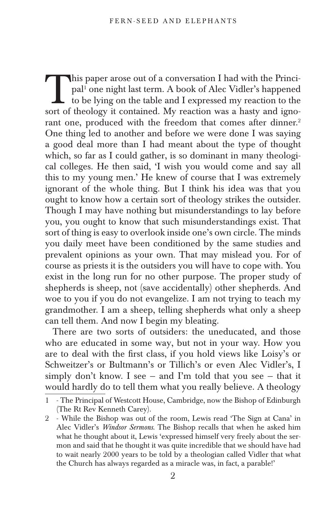This paper arose out of a conversation I had with the Principal<sup>1</sup> one night last term. A book of Alec Vidler's happened to be lying on the table and I expressed my reaction to the sort of theology it contained. My reactio pal<sup>1</sup> one night last term. A book of Alec Vidler's happened to be lying on the table and I expressed my reaction to the sort of theology it contained. My reaction was a hasty and ignorant one, produced with the freedom that comes after dinner.<sup>2</sup> One thing led to another and before we were done I was saying a good deal more than I had meant about the type of thought which, so far as I could gather, is so dominant in many theological colleges. He then said, 'I wish you would come and say all this to my young men.' He knew of course that I was extremely ignorant of the whole thing. But I think his idea was that you ought to know how a certain sort of theology strikes the outsider. Though I may have nothing but misunderstandings to lay before you, you ought to know that such misunderstandings exist. That sort of thing is easy to overlook inside one's own circle. The minds you daily meet have been conditioned by the same studies and prevalent opinions as your own. That may mislead you. For of course as priests it is the outsiders you will have to cope with. You exist in the long run for no other purpose. The proper study of shepherds is sheep, not (save accidentally) other shepherds. And woe to you if you do not evangelize. I am not trying to teach my grandmother. I am a sheep, telling shepherds what only a sheep can tell them. And now I begin my bleating.

There are two sorts of outsiders: the uneducated, and those who are educated in some way, but not in your way. How you are to deal with the first class, if you hold views like Loisy's or Schweitzer's or Bultmann's or Tillich's or even Alec Vidler's, I simply don't know. I see — and I'm told that you see — that it would hardly do to tell them what you really believe. A theology

<sup>1</sup> - The Principal of Westcott House, Cambridge, now the Bishop of Edinburgh (The Rt Rev Kenneth Carey).

<sup>2</sup> - While the Bishop was out of the room, Lewis read 'The Sign at Cana' in Alec Vidler's *Windsor Sermons*. The Bishop recalls that when he asked him what he thought about it, Lewis 'expressed himself very freely about the sermon and said that he thought it was quite incredible that we should have had to wait nearly 2000 years to be told by a theologian called Vidler that what the Church has always regarded as a miracle was, in fact, a parable!'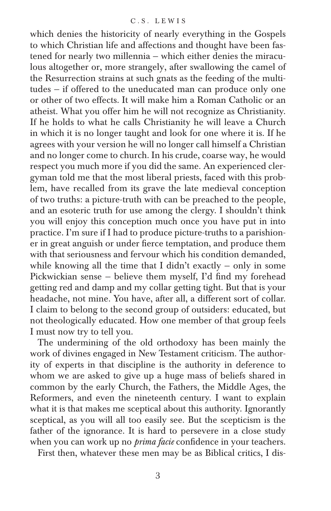which denies the historicity of nearly everything in the Gospels to which Christian life and affections and thought have been fastened for nearly two millennia — which either denies the miraculous altogether or, more strangely, after swallowing the camel of the Resurrection strains at such gnats as the feeding of the multitudes — if offered to the uneducated man can produce only one or other of two effects. It will make him a Roman Catholic or an atheist. What you offer him he will not recognize as Christianity. If he holds to what he calls Christianity he will leave a Church in which it is no longer taught and look for one where it is. If he agrees with your version he will no longer call himself a Christian and no longer come to church. In his crude, coarse way, he would respect you much more if you did the same. An experienced clergyman told me that the most liberal priests, faced with this problem, have recalled from its grave the late medieval conception of two truths: a picture-truth with can be preached to the people, and an esoteric truth for use among the clergy. I shouldn't think you will enjoy this conception much once you have put in into practice. I'm sure if I had to produce picture-truths to a parishioner in great anguish or under fierce temptation, and produce them with that seriousness and fervour which his condition demanded, while knowing all the time that I didn't exactly — only in some Pickwickian sense — believe them myself, I'd find my forehead getting red and damp and my collar getting tight. But that is your headache, not mine. You have, after all, a different sort of collar. I claim to belong to the second group of outsiders: educated, but not theologically educated. How one member of that group feels I must now try to tell you.

The undermining of the old orthodoxy has been mainly the work of divines engaged in New Testament criticism. The authority of experts in that discipline is the authority in deference to whom we are asked to give up a huge mass of beliefs shared in common by the early Church, the Fathers, the Middle Ages, the Reformers, and even the nineteenth century. I want to explain what it is that makes me sceptical about this authority. Ignorantly sceptical, as you will all too easily see. But the scepticism is the father of the ignorance. It is hard to persevere in a close study when you can work up no *prima facie* confidence in your teachers.

First then, whatever these men may be as Biblical critics, I dis-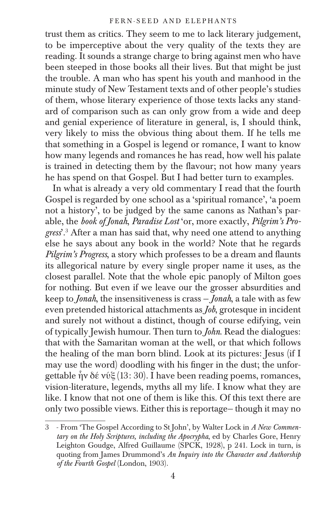trust them as critics. They seem to me to lack literary judgement, to be imperceptive about the very quality of the texts they are reading. It sounds a strange charge to bring against men who have been steeped in those books all their lives. But that might be just the trouble. A man who has spent his youth and manhood in the minute study of New Testament texts and of other people's studies of them, whose literary experience of those texts lacks any standard of comparison such as can only grow from a wide and deep and genial experience of literature in general, is, I should think, very likely to miss the obvious thing about them. If he tells me that something in a Gospel is legend or romance, I want to know how many legends and romances he has read, how well his palate is trained in detecting them by the flavour; not how many years he has spend on that Gospel. But I had better turn to examples.

In what is already a very old commentary I read that the fourth Gospel is regarded by one school as a 'spiritual romance', 'a poem not a history', to be judged by the same canons as Nathan's parable, the *book of Jonah*, *Paradise Lost* 'or, more exactly, *Pilgrim's Progress*'.3 After a man has said that, why need one attend to anything else he says about any book in the world? Note that he regards *Pilgrim's Progress*, a story which professes to be a dream and flaunts its allegorical nature by every single proper name it uses, as the closest parallel. Note that the whole epic panoply of Milton goes for nothing. But even if we leave our the grosser absurdities and keep to *Jonah*, the insensitiveness is crass — *Jonah*, a tale with as few even pretended historical attachments as *Job*, grotesque in incident and surely not without a distinct, though of course edifying, vein of typically Jewish humour. Then turn to *John*. Read the dialogues: that with the Samaritan woman at the well, or that which follows the healing of the man born blind. Look at its pictures: Jesus (if I may use the word) doodling with his finger in the dust; the unforgettable ἧν δέ νύξ (13: 30). I have been reading poems, romances, vision-literature, legends, myths all my life. I know what they are like. I know that not one of them is like this. Of this text there are only two possible views. Either this is reportage— though it may no

<sup>3</sup> - From 'The Gospel According to St John', by Walter Lock in *A New Commentary on the Holy Scriptures, including the Apocrypha*, ed by Charles Gore, Henry Leighton Goudge, Alfred Guillaume (SPCK, 1928), p 241. Lock in turn, is quoting from James Drummond's *An Inquiry into the Character and Authorship of the Fourth Gospel* (London, 1903).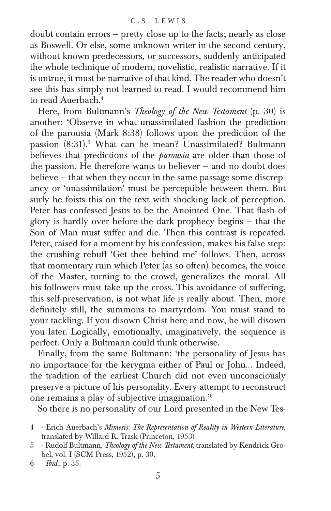doubt contain errors — pretty close up to the facts; nearly as close as Boswell. Or else, some unknown writer in the second century, without known predecessors, or successors, suddenly anticipated the whole technique of modern, novelistic, realistic narrative. If it is untrue, it must be narrative of that kind. The reader who doesn't see this has simply not learned to read. I would recommend him to read Auerbach.<sup>4</sup>

Here, from Bultmann's *Theology of the New Testament* (p. 30) is another: 'Observe in what unassimilated fashion the prediction of the parousia (Mark 8:38) follows upon the prediction of the passion (8:31).5 What can he mean? Unassimilated? Bultmann believes that predictions of the *parousia* are older than those of the passion. He therefore wants to believer — and no doubt does believe — that when they occur in the same passage some discrepancy or 'unassimilation' must be perceptible between them. But surly he foists this on the text with shocking lack of perception. Peter has confessed Jesus to be the Anointed One. That flash of glory is hardly over before the dark prophecy begins — that the Son of Man must suffer and die. Then this contrast is repeated. Peter, raised for a moment by his confession, makes his false step: the crushing rebuff 'Get thee behind me' follows. Then, across that momentary ruin which Peter (as so often) becomes, the voice of the Master, turning to the crowd, generalizes the moral. All his followers must take up the cross. This avoidance of suffering, this self-preservation, is not what life is really about. Then, more definitely still, the summons to martyrdom. You must stand to your tackling. If you disown Christ here and now, he will disown you later. Logically, emotionally, imaginatively, the sequence is perfect. Only a Bultmann could think otherwise.

Finally, from the same Bultmann: 'the personality of Jesus has no importance for the kerygma either of Paul or John... Indeed, the tradition of the earliest Church did not even unconsciously preserve a picture of his personality. Every attempt to reconstruct one remains a play of subjective imagination.'6

So there is no personality of our Lord presented in the New Tes-

<sup>4</sup> - Erich Auerbach's *Mimesis: The Representation of Reality in Western Literature*, translated by Willard R. Trask (Princeton, 1953)

<sup>5</sup> - Rudolf Bultmann, *Theology of the New Testament*, translated by Kendrick Grobel, vol. I (SCM Press, 1952), p. 30.

<sup>6</sup> - *Ibid*., p. 35.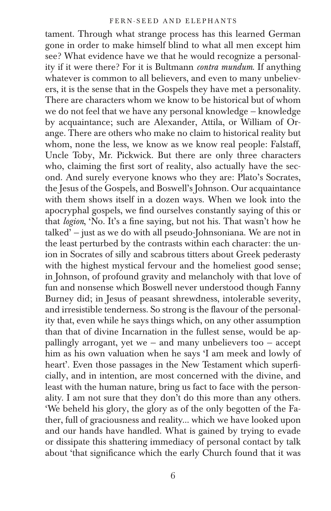tament. Through what strange process has this learned German gone in order to make himself blind to what all men except him see? What evidence have we that he would recognize a personality if it were there? For it is Bultmann *contra mundum*. If anything whatever is common to all believers, and even to many unbelievers, it is the sense that in the Gospels they have met a personality. There are characters whom we know to be historical but of whom we do not feel that we have any personal knowledge — knowledge by acquaintance; such are Alexander, Attila, or William of Orange. There are others who make no claim to historical reality but whom, none the less, we know as we know real people: Falstaff, Uncle Toby, Mr. Pickwick. But there are only three characters who, claiming the first sort of reality, also actually have the second. And surely everyone knows who they are: Plato's Socrates, the Jesus of the Gospels, and Boswell's Johnson. Our acquaintance with them shows itself in a dozen ways. When we look into the apocryphal gospels, we find ourselves constantly saying of this or that *logion*, 'No. It's a fine saying, but not his. That wasn't how he talked' — just as we do with all pseudo-Johnsoniana. We are not in the least perturbed by the contrasts within each character: the union in Socrates of silly and scabrous titters about Greek pederasty with the highest mystical fervour and the homeliest good sense; in Johnson, of profound gravity and melancholy with that love of fun and nonsense which Boswell never understood though Fanny Burney did; in Jesus of peasant shrewdness, intolerable severity, and irresistible tenderness. So strong is the flavour of the personality that, even while he says things which, on any other assumption than that of divine Incarnation in the fullest sense, would be appallingly arrogant, yet we — and many unbelievers too — accept him as his own valuation when he says 'I am meek and lowly of heart'. Even those passages in the New Testament which superficially, and in intention, are most concerned with the divine, and least with the human nature, bring us fact to face with the personality. I am not sure that they don't do this more than any others. 'We beheld his glory, the glory as of the only begotten of the Father, full of graciousness and reality... which we have looked upon and our hands have handled. What is gained by trying to evade or dissipate this shattering immediacy of personal contact by talk about 'that significance which the early Church found that it was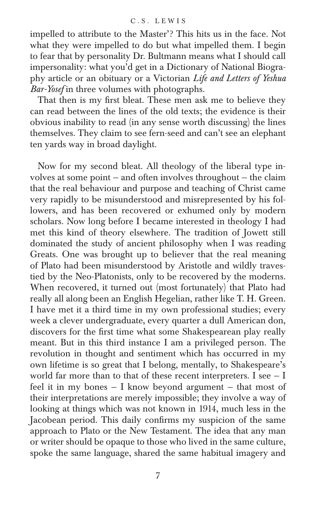impelled to attribute to the Master'? This hits us in the face. Not what they were impelled to do but what impelled them. I begin to fear that by personality Dr. Bultmann means what I should call impersonality: what you'd get in a Dictionary of National Biography article or an obituary or a Victorian *Life and Letters of Yeshua Bar-Yosef* in three volumes with photographs.

That then is my first bleat. These men ask me to believe they can read between the lines of the old texts; the evidence is their obvious inability to read (in any sense worth discussing) the lines themselves. They claim to see fern-seed and can't see an elephant ten yards way in broad daylight.

Now for my second bleat. All theology of the liberal type involves at some point — and often involves throughout — the claim that the real behaviour and purpose and teaching of Christ came very rapidly to be misunderstood and misrepresented by his followers, and has been recovered or exhumed only by modern scholars. Now long before I became interested in theology I had met this kind of theory elsewhere. The tradition of Jowett still dominated the study of ancient philosophy when I was reading Greats. One was brought up to believer that the real meaning of Plato had been misunderstood by Aristotle and wildly travestied by the Neo-Platonists, only to be recovered by the moderns. When recovered, it turned out (most fortunately) that Plato had really all along been an English Hegelian, rather like T. H. Green. I have met it a third time in my own professional studies; every week a clever undergraduate, every quarter a dull American don, discovers for the first time what some Shakespearean play really meant. But in this third instance I am a privileged person. The revolution in thought and sentiment which has occurred in my own lifetime is so great that I belong, mentally, to Shakespeare's world far more than to that of these recent interpreters. I see  $-1$ feel it in my bones — I know beyond argument — that most of their interpretations are merely impossible; they involve a way of looking at things which was not known in 1914, much less in the Jacobean period. This daily confirms my suspicion of the same approach to Plato or the New Testament. The idea that any man or writer should be opaque to those who lived in the same culture, spoke the same language, shared the same habitual imagery and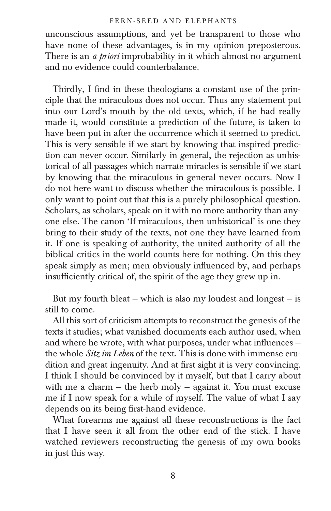unconscious assumptions, and yet be transparent to those who have none of these advantages, is in my opinion preposterous. There is an *a priori* improbability in it which almost no argument and no evidence could counterbalance.

Thirdly, I find in these theologians a constant use of the principle that the miraculous does not occur. Thus any statement put into our Lord's mouth by the old texts, which, if he had really made it, would constitute a prediction of the future, is taken to have been put in after the occurrence which it seemed to predict. This is very sensible if we start by knowing that inspired prediction can never occur. Similarly in general, the rejection as unhistorical of all passages which narrate miracles is sensible if we start by knowing that the miraculous in general never occurs. Now I do not here want to discuss whether the miraculous is possible. I only want to point out that this is a purely philosophical question. Scholars, as scholars, speak on it with no more authority than anyone else. The canon 'If miraculous, then unhistorical' is one they bring to their study of the texts, not one they have learned from it. If one is speaking of authority, the united authority of all the biblical critics in the world counts here for nothing. On this they speak simply as men; men obviously influenced by, and perhaps insufficiently critical of, the spirit of the age they grew up in.

But my fourth bleat  $-$  which is also my loudest and longest  $-$  is still to come.

All this sort of criticism attempts to reconstruct the genesis of the texts it studies; what vanished documents each author used, when and where he wrote, with what purposes, under what influences the whole *Sitz im Leben* of the text. This is done with immense erudition and great ingenuity. And at first sight it is very convincing. I think I should be convinced by it myself, but that I carry about with me a charm — the herb moly — against it. You must excuse me if I now speak for a while of myself. The value of what I say depends on its being first-hand evidence.

What forearms me against all these reconstructions is the fact that I have seen it all from the other end of the stick. I have watched reviewers reconstructing the genesis of my own books in just this way.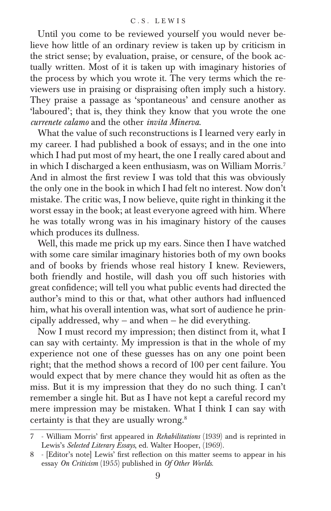Until you come to be reviewed yourself you would never believe how little of an ordinary review is taken up by criticism in the strict sense; by evaluation, praise, or censure, of the book actually written. Most of it is taken up with imaginary histories of the process by which you wrote it. The very terms which the reviewers use in praising or dispraising often imply such a history. They praise a passage as 'spontaneous' and censure another as 'laboured'; that is, they think they know that you wrote the one *currenete calamo* and the other *invita Minerva*.

What the value of such reconstructions is I learned very early in my career. I had published a book of essays; and in the one into which I had put most of my heart, the one I really cared about and in which I discharged a keen enthusiasm, was on William Morris.7 And in almost the first review I was told that this was obviously the only one in the book in which I had felt no interest. Now don't mistake. The critic was, I now believe, quite right in thinking it the worst essay in the book; at least everyone agreed with him. Where he was totally wrong was in his imaginary history of the causes which produces its dullness.

Well, this made me prick up my ears. Since then I have watched with some care similar imaginary histories both of my own books and of books by friends whose real history I knew. Reviewers, both friendly and hostile, will dash you off such histories with great confidence; will tell you what public events had directed the author's mind to this or that, what other authors had influenced him, what his overall intention was, what sort of audience he principally addressed, why — and when — he did everything.

Now I must record my impression; then distinct from it, what I can say with certainty. My impression is that in the whole of my experience not one of these guesses has on any one point been right; that the method shows a record of 100 per cent failure. You would expect that by mere chance they would hit as often as the miss. But it is my impression that they do no such thing. I can't remember a single hit. But as I have not kept a careful record my mere impression may be mistaken. What I think I can say with certainty is that they are usually wrong.<sup>8</sup>

<sup>7</sup> - William Morris' first appeared in *Rehabilitations* (1939) and is reprinted in Lewis's *Selected Literary Essays*, ed. Walter Hooper, (1969).

<sup>8</sup> - [Editor's note] Lewis' first reflection on this matter seems to appear in his essay *On Criticism* (1955) published in *Of Other Worlds*.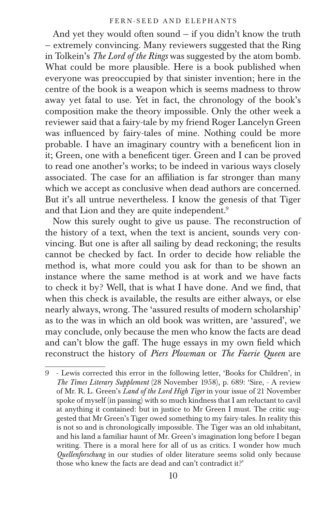And yet they would often sound — if you didn't know the truth — extremely convincing. Many reviewers suggested that the Ring in Tolkein's *The Lord of the Rings* was suggested by the atom bomb. What could be more plausible. Here is a book published when everyone was preoccupied by that sinister invention; here in the centre of the book is a weapon which is seems madness to throw away yet fatal to use. Yet in fact, the chronology of the book's composition make the theory impossible. Only the other week a reviewer said that a fairy-tale by my friend Roger Lancelyn Green was influenced by fairy-tales of mine. Nothing could be more probable. I have an imaginary country with a beneficent lion in it; Green, one with a beneficent tiger. Green and I can be proved to read one another's works; to be indeed in various ways closely associated. The case for an affiliation is far stronger than many which we accept as conclusive when dead authors are concerned. But it's all untrue nevertheless. I know the genesis of that Tiger and that Lion and they are quite independent.<sup>9</sup>

Now this surely ought to give us pause. The reconstruction of the history of a text, when the text is ancient, sounds very convincing. But one is after all sailing by dead reckoning; the results cannot be checked by fact. In order to decide how reliable the method is, what more could you ask for than to be shown an instance where the same method is at work and we have facts to check it by? Well, that is what I have done. And we find, that when this check is available, the results are either always, or else nearly always, wrong. The 'assured results of modern scholarship' as to the was in which an old book was written, are 'assured', we may conclude, only because the men who know the facts are dead and can't blow the gaff. The huge essays in my own field which reconstruct the history of *Piers Plowman* or *The Faerie Queen* are

<sup>9</sup> - Lewis corrected this error in the following letter, 'Books for Children', in *The Times Literary Supplement* (28 November 1958), p. 689: 'Sire, - A review of Mr. R. L. Green's *Land of the Lord High Tiger* in your issue of 21 November spoke of myself (in passing) with so much kindness that I am reluctant to cavil at anything it contained: but in justice to Mr Green I must. The critic suggested that Mr Green's Tiger owed something to my fairy-tales. In reality this is not so and is chronologically impossible. The Tiger was an old inhabitant, and his land a familiar haunt of Mr. Green's imagination long before I began writing. There is a moral here for all of us as critics. I wonder how much *Quellenforschung* in our studies of older literature seems solid only because those who knew the facts are dead and can't contradict it?'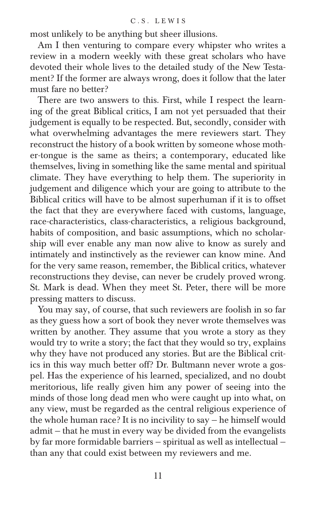#### C.S. L e w i s

most unlikely to be anything but sheer illusions.

Am I then venturing to compare every whipster who writes a review in a modern weekly with these great scholars who have devoted their whole lives to the detailed study of the New Testament? If the former are always wrong, does it follow that the later must fare no better?

There are two answers to this. First, while I respect the learning of the great Biblical critics, I am not yet persuaded that their judgement is equally to be respected. But, secondly, consider with what overwhelming advantages the mere reviewers start. They reconstruct the history of a book written by someone whose mother-tongue is the same as theirs; a contemporary, educated like themselves, living in something like the same mental and spiritual climate. They have everything to help them. The superiority in judgement and diligence which your are going to attribute to the Biblical critics will have to be almost superhuman if it is to offset the fact that they are everywhere faced with customs, language, race-characteristics, class-characteristics, a religious background, habits of composition, and basic assumptions, which no scholarship will ever enable any man now alive to know as surely and intimately and instinctively as the reviewer can know mine. And for the very same reason, remember, the Biblical critics, whatever reconstructions they devise, can never be crudely proved wrong. St. Mark is dead. When they meet St. Peter, there will be more pressing matters to discuss.

You may say, of course, that such reviewers are foolish in so far as they guess how a sort of book they never wrote themselves was written by another. They assume that you wrote a story as they would try to write a story; the fact that they would so try, explains why they have not produced any stories. But are the Biblical critics in this way much better off? Dr. Bultmann never wrote a gospel. Has the experience of his learned, specialized, and no doubt meritorious, life really given him any power of seeing into the minds of those long dead men who were caught up into what, on any view, must be regarded as the central religious experience of the whole human race? It is no incivility to say — he himself would admit — that he must in every way be divided from the evangelists by far more formidable barriers — spiritual as well as intellectual than any that could exist between my reviewers and me.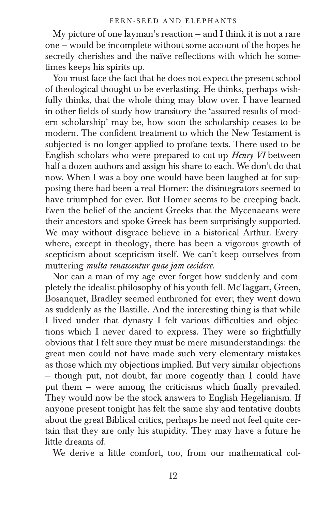My picture of one layman's reaction  $-$  and I think it is not a rare one — would be incomplete without some account of the hopes he secretly cherishes and the naïve reflections with which he sometimes keeps his spirits up.

You must face the fact that he does not expect the present school of theological thought to be everlasting. He thinks, perhaps wishfully thinks, that the whole thing may blow over. I have learned in other fields of study how transitory the 'assured results of modern scholarship' may be, how soon the scholarship ceases to be modern. The confident treatment to which the New Testament is subjected is no longer applied to profane texts. There used to be English scholars who were prepared to cut up *Henry VI* between half a dozen authors and assign his share to each. We don't do that now. When I was a boy one would have been laughed at for supposing there had been a real Homer: the disintegrators seemed to have triumphed for ever. But Homer seems to be creeping back. Even the belief of the ancient Greeks that the Mycenaeans were their ancestors and spoke Greek has been surprisingly supported. We may without disgrace believe in a historical Arthur. Everywhere, except in theology, there has been a vigorous growth of scepticism about scepticism itself. We can't keep ourselves from muttering *multa renascentur quae jam cecidere*.

Nor can a man of my age ever forget how suddenly and completely the idealist philosophy of his youth fell. McTaggart, Green, Bosanquet, Bradley seemed enthroned for ever; they went down as suddenly as the Bastille. And the interesting thing is that while I lived under that dynasty I felt various difficulties and objections which I never dared to express. They were so frightfully obvious that I felt sure they must be mere misunderstandings: the great men could not have made such very elementary mistakes as those which my objections implied. But very similar objections — though put, not doubt, far more cogently than I could have put them — were among the criticisms which finally prevailed. They would now be the stock answers to English Hegelianism. If anyone present tonight has felt the same shy and tentative doubts about the great Biblical critics, perhaps he need not feel quite certain that they are only his stupidity. They may have a future he little dreams of.

We derive a little comfort, too, from our mathematical col-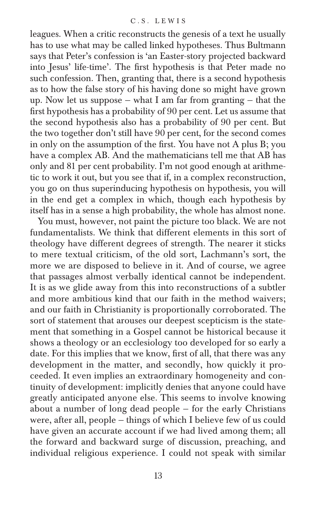leagues. When a critic reconstructs the genesis of a text he usually has to use what may be called linked hypotheses. Thus Bultmann says that Peter's confession is 'an Easter-story projected backward into Jesus' life-time'. The first hypothesis is that Peter made no such confession. Then, granting that, there is a second hypothesis as to how the false story of his having done so might have grown up. Now let us suppose — what I am far from granting — that the first hypothesis has a probability of 90 per cent. Let us assume that the second hypothesis also has a probability of 90 per cent. But the two together don't still have 90 per cent, for the second comes in only on the assumption of the first. You have not A plus B; you have a complex AB. And the mathematicians tell me that AB has only and 81 per cent probability. I'm not good enough at arithmetic to work it out, but you see that if, in a complex reconstruction, you go on thus superinducing hypothesis on hypothesis, you will in the end get a complex in which, though each hypothesis by itself has in a sense a high probability, the whole has almost none.

You must, however, not paint the picture too black. We are not fundamentalists. We think that different elements in this sort of theology have different degrees of strength. The nearer it sticks to mere textual criticism, of the old sort, Lachmann's sort, the more we are disposed to believe in it. And of course, we agree that passages almost verbally identical cannot be independent. It is as we glide away from this into reconstructions of a subtler and more ambitious kind that our faith in the method waivers; and our faith in Christianity is proportionally corroborated. The sort of statement that arouses our deepest scepticism is the statement that something in a Gospel cannot be historical because it shows a theology or an ecclesiology too developed for so early a date. For this implies that we know, first of all, that there was any development in the matter, and secondly, how quickly it proceeded. It even implies an extraordinary homogeneity and continuity of development: implicitly denies that anyone could have greatly anticipated anyone else. This seems to involve knowing about a number of long dead people — for the early Christians were, after all, people — things of which I believe few of us could have given an accurate account if we had lived among them; all the forward and backward surge of discussion, preaching, and individual religious experience. I could not speak with similar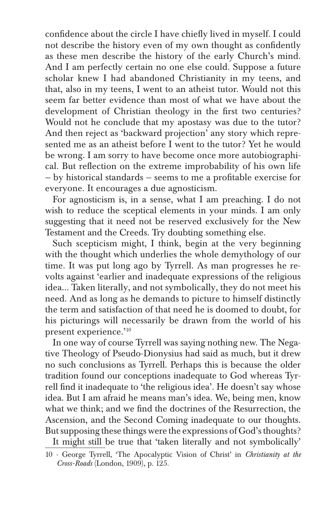confidence about the circle I have chiefly lived in myself. I could not describe the history even of my own thought as confidently as these men describe the history of the early Church's mind. And I am perfectly certain no one else could. Suppose a future scholar knew I had abandoned Christianity in my teens, and that, also in my teens, I went to an atheist tutor. Would not this seem far better evidence than most of what we have about the development of Christian theology in the first two centuries? Would not he conclude that my apostasy was due to the tutor? And then reject as 'backward projection' any story which represented me as an atheist before I went to the tutor? Yet he would be wrong. I am sorry to have become once more autobiographical. But reflection on the extreme improbability of his own life — by historical standards — seems to me a profitable exercise for everyone. It encourages a due agnosticism.

For agnosticism is, in a sense, what I am preaching. I do not wish to reduce the sceptical elements in your minds. I am only suggesting that it need not be reserved exclusively for the New Testament and the Creeds. Try doubting something else.

Such scepticism might, I think, begin at the very beginning with the thought which underlies the whole demythology of our time. It was put long ago by Tyrrell. As man progresses he revolts against 'earlier and inadequate expressions of the religious idea... Taken literally, and not symbolically, they do not meet his need. And as long as he demands to picture to himself distinctly the term and satisfaction of that need he is doomed to doubt, for his picturings will necessarily be drawn from the world of his present experience.'10

In one way of course Tyrrell was saying nothing new. The Negative Theology of Pseudo-Dionysius had said as much, but it drew no such conclusions as Tyrrell. Perhaps this is because the older tradition found our conceptions inadequate to God whereas Tyrrell find it inadequate to 'the religious idea'. He doesn't say whose idea. But I am afraid he means man's idea. We, being men, know what we think; and we find the doctrines of the Resurrection, the Ascension, and the Second Coming inadequate to our thoughts. But supposing these things were the expressions of God's thoughts?

It might still be true that 'taken literally and not symbolically'

<sup>10</sup> - George Tyrrell, 'The Apocalyptic Vision of Christ' in *Christianity at the Cross-Roads* (London, 1909), p. 125.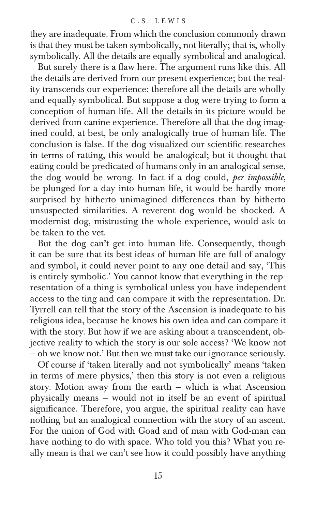they are inadequate. From which the conclusion commonly drawn is that they must be taken symbolically, not literally; that is, wholly symbolically. All the details are equally symbolical and analogical.

But surely there is a flaw here. The argument runs like this. All the details are derived from our present experience; but the reality transcends our experience: therefore all the details are wholly and equally symbolical. But suppose a dog were trying to form a conception of human life. All the details in its picture would be derived from canine experience. Therefore all that the dog imagined could, at best, be only analogically true of human life. The conclusion is false. If the dog visualized our scientific researches in terms of ratting, this would be analogical; but it thought that eating could be predicated of humans only in an analogical sense, the dog would be wrong. In fact if a dog could, *per impossible*, be plunged for a day into human life, it would be hardly more surprised by hitherto unimagined differences than by hitherto unsuspected similarities. A reverent dog would be shocked. A modernist dog, mistrusting the whole experience, would ask to be taken to the vet.

But the dog can't get into human life. Consequently, though it can be sure that its best ideas of human life are full of analogy and symbol, it could never point to any one detail and say, 'This is entirely symbolic.' You cannot know that everything in the representation of a thing is symbolical unless you have independent access to the ting and can compare it with the representation. Dr. Tyrrell can tell that the story of the Ascension is inadequate to his religious idea, because he knows his own idea and can compare it with the story. But how if we are asking about a transcendent, objective reality to which the story is our sole access? 'We know not — oh we know not.' But then we must take our ignorance seriously.

Of course if 'taken literally and not symbolically' means 'taken in terms of mere physics,' then this story is not even a religious story. Motion away from the earth — which is what Ascension physically means — would not in itself be an event of spiritual significance. Therefore, you argue, the spiritual reality can have nothing but an analogical connection with the story of an ascent. For the union of God with Goad and of man with God-man can have nothing to do with space. Who told you this? What you really mean is that we can't see how it could possibly have anything